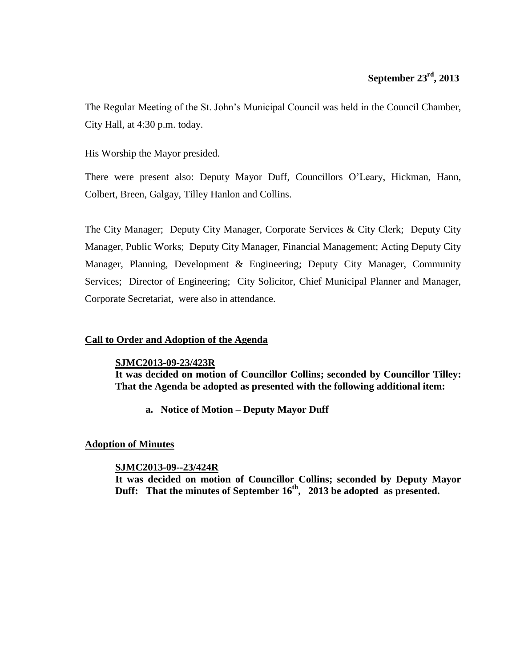## **September 23rd , 2013**

The Regular Meeting of the St. John's Municipal Council was held in the Council Chamber, City Hall, at 4:30 p.m. today.

His Worship the Mayor presided.

There were present also: Deputy Mayor Duff, Councillors O'Leary, Hickman, Hann, Colbert, Breen, Galgay, Tilley Hanlon and Collins.

The City Manager; Deputy City Manager, Corporate Services & City Clerk; Deputy City Manager, Public Works; Deputy City Manager, Financial Management; Acting Deputy City Manager, Planning, Development & Engineering; Deputy City Manager, Community Services; Director of Engineering; City Solicitor, Chief Municipal Planner and Manager, Corporate Secretariat, were also in attendance.

## **Call to Order and Adoption of the Agenda**

#### **SJMC2013-09-23/423R**

**It was decided on motion of Councillor Collins; seconded by Councillor Tilley: That the Agenda be adopted as presented with the following additional item:** 

**a. Notice of Motion – Deputy Mayor Duff**

### **Adoption of Minutes**

### **SJMC2013-09--23/424R**

**It was decided on motion of Councillor Collins; seconded by Deputy Mayor Duff: That the minutes of September 16th , 2013 be adopted as presented.**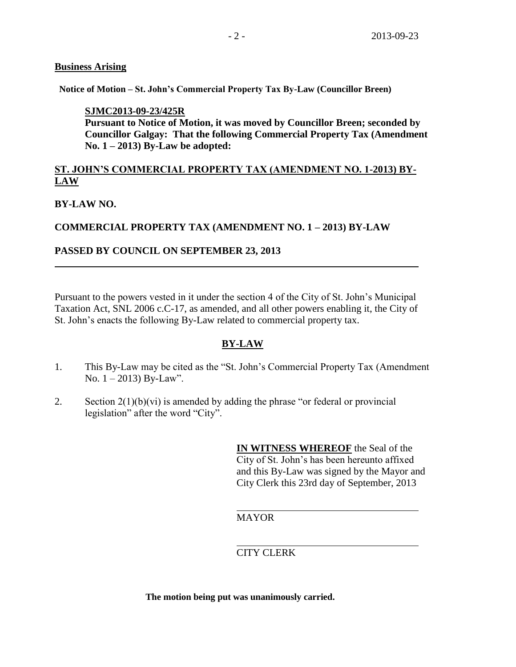## **Business Arising**

**Notice of Motion – St. John's Commercial Property Tax By-Law (Councillor Breen)**

## **SJMC2013-09-23/425R**

**Pursuant to Notice of Motion, it was moved by Councillor Breen; seconded by Councillor Galgay: That the following Commercial Property Tax (Amendment No. 1 – 2013) By-Law be adopted:**

## **ST. JOHN'S COMMERCIAL PROPERTY TAX (AMENDMENT NO. 1-2013) BY-LAW**

## **BY-LAW NO.**

## **COMMERCIAL PROPERTY TAX (AMENDMENT NO. 1 – 2013) BY-LAW**

## **PASSED BY COUNCIL ON SEPTEMBER 23, 2013**

Pursuant to the powers vested in it under the section 4 of the City of St. John's Municipal Taxation Act, SNL 2006 c.C-17, as amended, and all other powers enabling it, the City of St. John's enacts the following By-Law related to commercial property tax.

## **BY-LAW**

- 1. This By-Law may be cited as the "St. John's Commercial Property Tax (Amendment No. 1 – 2013) By-Law".
- 2. Section  $2(1)(b)(vi)$  is amended by adding the phrase "or federal or provincial legislation" after the word "City".

**IN WITNESS WHEREOF** the Seal of the City of St. John's has been hereunto affixed and this By-Law was signed by the Mayor and City Clerk this 23rd day of September, 2013

MAYOR

## CITY CLERK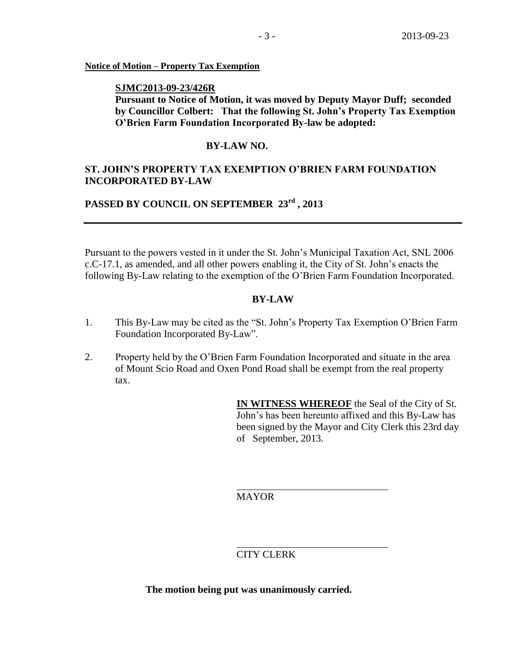#### **Notice of Motion – Property Tax Exemption**

#### **SJMC2013-09-23/426R**

**Pursuant to Notice of Motion, it was moved by Deputy Mayor Duff; seconded by Councillor Colbert: That the following St. John's Property Tax Exemption O'Brien Farm Foundation Incorporated By-law be adopted:**

### **BY-LAW NO.**

## **ST. JOHN'S PROPERTY TAX EXEMPTION O'BRIEN FARM FOUNDATION INCORPORATED BY-LAW**

## **PASSED BY COUNCIL ON SEPTEMBER 23rd , 2013**

Pursuant to the powers vested in it under the St. John's Municipal Taxation Act, SNL 2006 c.C-17.1, as amended, and all other powers enabling it, the City of St. John's enacts the following By-Law relating to the exemption of the O'Brien Farm Foundation Incorporated.

#### **BY-LAW**

- 1. This By-Law may be cited as the "St. John's Property Tax Exemption O'Brien Farm Foundation Incorporated By-Law".
- 2. Property held by the O'Brien Farm Foundation Incorporated and situate in the area of Mount Scio Road and Oxen Pond Road shall be exempt from the real property tax.

**IN WITNESS WHEREOF** the Seal of the City of St. John's has been hereunto affixed and this By-Law has been signed by the Mayor and City Clerk this 23rd day of September, 2013.

MAYOR

## CITY CLERK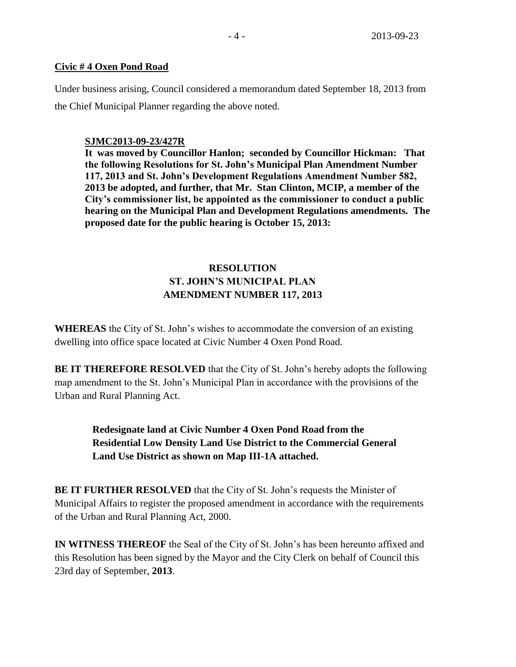## **Civic # 4 Oxen Pond Road**

Under business arising, Council considered a memorandum dated September 18, 2013 from the Chief Municipal Planner regarding the above noted.

## **SJMC2013-09-23/427R**

**It was moved by Councillor Hanlon; seconded by Councillor Hickman: That the following Resolutions for St. John's Municipal Plan Amendment Number 117, 2013 and St. John's Development Regulations Amendment Number 582, 2013 be adopted, and further, that Mr. Stan Clinton, MCIP, a member of the City's commissioner list, be appointed as the commissioner to conduct a public hearing on the Municipal Plan and Development Regulations amendments. The proposed date for the public hearing is October 15, 2013:** 

# **RESOLUTION ST. JOHN'S MUNICIPAL PLAN AMENDMENT NUMBER 117, 2013**

**WHEREAS** the City of St. John's wishes to accommodate the conversion of an existing dwelling into office space located at Civic Number 4 Oxen Pond Road.

**BE IT THEREFORE RESOLVED** that the City of St. John's hereby adopts the following map amendment to the St. John's Municipal Plan in accordance with the provisions of the Urban and Rural Planning Act.

> **Redesignate land at Civic Number 4 Oxen Pond Road from the Residential Low Density Land Use District to the Commercial General Land Use District as shown on Map III-1A attached.**

**BE IT FURTHER RESOLVED** that the City of St. John's requests the Minister of Municipal Affairs to register the proposed amendment in accordance with the requirements of the Urban and Rural Planning Act, 2000.

**IN WITNESS THEREOF** the Seal of the City of St. John's has been hereunto affixed and this Resolution has been signed by the Mayor and the City Clerk on behalf of Council this 23rd day of September, **2013**.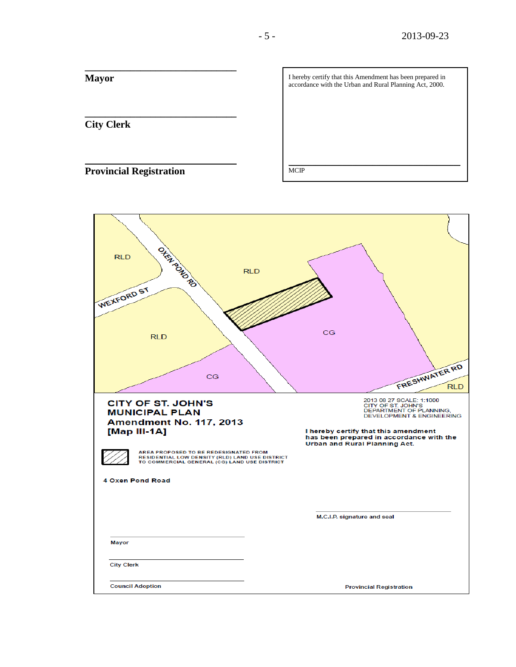| Mayor                          | I hereby certify that this Amendment has been prepared in<br>accordance with the Urban and Rural Planning Act, 2000. |
|--------------------------------|----------------------------------------------------------------------------------------------------------------------|
|                                |                                                                                                                      |
| <b>City Clerk</b>              |                                                                                                                      |
|                                |                                                                                                                      |
| <b>Provincial Registration</b> | <b>MCIP</b>                                                                                                          |

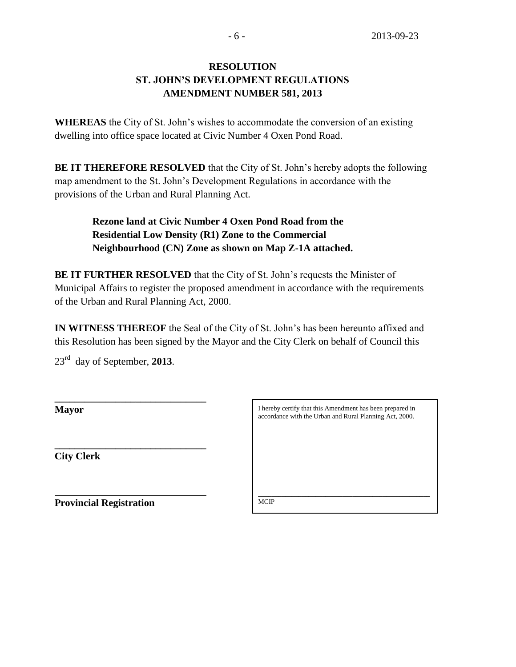# **RESOLUTION ST. JOHN'S DEVELOPMENT REGULATIONS AMENDMENT NUMBER 581, 2013**

**WHEREAS** the City of St. John's wishes to accommodate the conversion of an existing dwelling into office space located at Civic Number 4 Oxen Pond Road.

**BE IT THEREFORE RESOLVED** that the City of St. John's hereby adopts the following map amendment to the St. John's Development Regulations in accordance with the provisions of the Urban and Rural Planning Act.

> **Rezone land at Civic Number 4 Oxen Pond Road from the Residential Low Density (R1) Zone to the Commercial Neighbourhood (CN) Zone as shown on Map Z-1A attached.**

**BE IT FURTHER RESOLVED** that the City of St. John's requests the Minister of Municipal Affairs to register the proposed amendment in accordance with the requirements of the Urban and Rural Planning Act, 2000.

**IN WITNESS THEREOF** the Seal of the City of St. John's has been hereunto affixed and this Resolution has been signed by the Mayor and the City Clerk on behalf of Council this

23rd day of September, **2013**.

**\_\_\_\_\_\_\_\_\_\_\_\_\_\_\_\_\_\_\_\_\_\_\_\_\_\_\_\_\_\_**

**\_\_\_\_\_\_\_\_\_\_\_\_\_\_\_\_\_\_\_\_\_\_\_\_\_\_\_\_\_\_** 

**Mayor**

**City Clerk**

I hereby certify that this Amendment has been prepared in accordance with the Urban and Rural Planning Act, 2000.

\_\_\_\_\_\_\_\_\_\_\_\_\_\_\_\_\_\_\_\_\_\_\_\_\_\_\_\_\_\_\_\_\_\_\_\_\_\_\_\_\_\_\_\_\_\_\_\_\_\_\_ **MCIP** 

**Provincial Registration**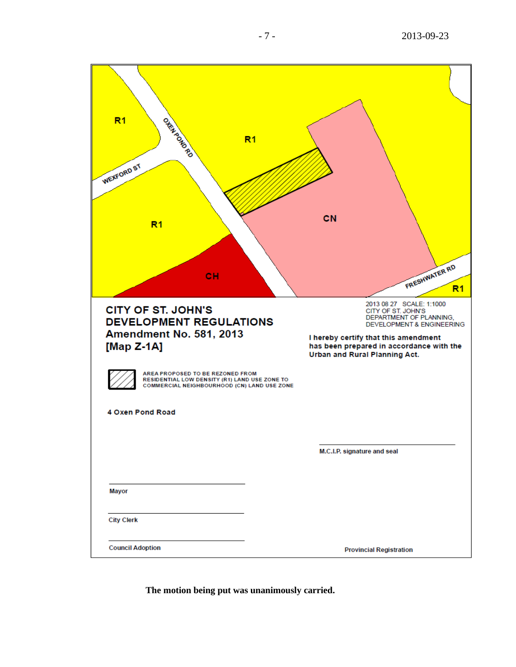| R <sub>1</sub><br>ORRADORORO<br>R <sub>1</sub>                                                                                   |                                                                                                                                                                                                                                        |
|----------------------------------------------------------------------------------------------------------------------------------|----------------------------------------------------------------------------------------------------------------------------------------------------------------------------------------------------------------------------------------|
| WEXFORD ST                                                                                                                       |                                                                                                                                                                                                                                        |
| R <sub>1</sub>                                                                                                                   | CN                                                                                                                                                                                                                                     |
| CH                                                                                                                               | FRESHWATER RD<br>R <sub>1</sub>                                                                                                                                                                                                        |
| <b>CITY OF ST. JOHN'S</b><br><b>DEVELOPMENT REGULATIONS</b><br><b>Amendment No. 581, 2013</b><br>[Map Z-1A]                      | 2013 08 27 SCALE: 1:1000<br>CITY OF ST. JOHN'S<br>DEPARTMENT OF PLANNING,<br><b>DEVELOPMENT &amp; ENGINEERING</b><br>I hereby certify that this amendment<br>has been prepared in accordance with the<br>Urban and Rural Planning Act. |
| AREA PROPOSED TO BE REZONED FROM<br>RESIDENTIAL LOW DENSITY (R1) LAND USE ZONE TO<br>COMMERCIAL NEIGHBOURHOOD (CN) LAND USE ZONE |                                                                                                                                                                                                                                        |
| 4 Oxen Pond Road                                                                                                                 |                                                                                                                                                                                                                                        |
|                                                                                                                                  | M.C.I.P. signature and seal                                                                                                                                                                                                            |
| <b>Mayor</b>                                                                                                                     |                                                                                                                                                                                                                                        |
| <b>City Clerk</b>                                                                                                                |                                                                                                                                                                                                                                        |
| <b>Council Adoption</b>                                                                                                          | <b>Provincial Registration</b>                                                                                                                                                                                                         |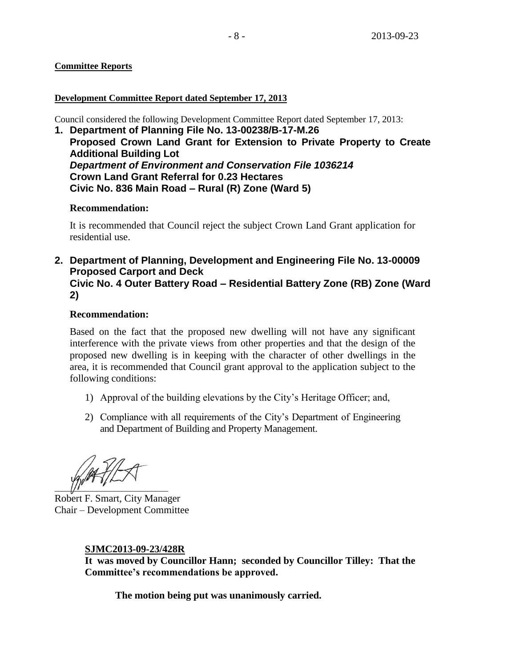## **Committee Reports**

### **Development Committee Report dated September 17, 2013**

Council considered the following Development Committee Report dated September 17, 2013:

**1. Department of Planning File No. 13-00238/B-17-M.26 Proposed Crown Land Grant for Extension to Private Property to Create Additional Building Lot** *Department of Environment and Conservation File 1036214* **Crown Land Grant Referral for 0.23 Hectares Civic No. 836 Main Road – Rural (R) Zone (Ward 5)**

## **Recommendation:**

It is recommended that Council reject the subject Crown Land Grant application for residential use.

**2. Department of Planning, Development and Engineering File No. 13-00009 Proposed Carport and Deck Civic No. 4 Outer Battery Road – Residential Battery Zone (RB) Zone (Ward 2)**

## **Recommendation:**

Based on the fact that the proposed new dwelling will not have any significant interference with the private views from other properties and that the design of the proposed new dwelling is in keeping with the character of other dwellings in the area, it is recommended that Council grant approval to the application subject to the following conditions:

- 1) Approval of the building elevations by the City's Heritage Officer; and,
- 2) Compliance with all requirements of the City's Department of Engineering and Department of Building and Property Management.

 $\frac{1}{2}$   $\frac{1}{2}$   $\frac{1}{2}$   $\frac{1}{2}$   $\frac{1}{2}$   $\frac{1}{2}$   $\frac{1}{2}$   $\frac{1}{2}$   $\frac{1}{2}$   $\frac{1}{2}$   $\frac{1}{2}$   $\frac{1}{2}$   $\frac{1}{2}$   $\frac{1}{2}$   $\frac{1}{2}$   $\frac{1}{2}$   $\frac{1}{2}$   $\frac{1}{2}$   $\frac{1}{2}$   $\frac{1}{2}$   $\frac{1}{2}$   $\frac{1}{2}$ 

Robert F. Smart, City Manager Chair – Development Committee

## **SJMC2013-09-23/428R**

**It was moved by Councillor Hann; seconded by Councillor Tilley: That the Committee's recommendations be approved.**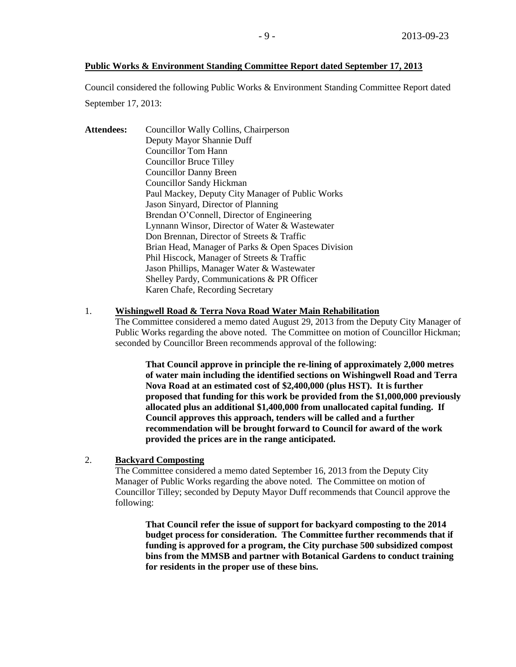#### **Public Works & Environment Standing Committee Report dated September 17, 2013**

Council considered the following Public Works & Environment Standing Committee Report dated September 17, 2013:

Attendees: Councillor Wally Collins, Chairperson Deputy Mayor Shannie Duff Councillor Tom Hann Councillor Bruce Tilley Councillor Danny Breen Councillor Sandy Hickman Paul Mackey, Deputy City Manager of Public Works Jason Sinyard, Director of Planning Brendan O'Connell, Director of Engineering Lynnann Winsor, Director of Water & Wastewater Don Brennan, Director of Streets & Traffic Brian Head, Manager of Parks & Open Spaces Division Phil Hiscock, Manager of Streets & Traffic Jason Phillips, Manager Water & Wastewater Shelley Pardy, Communications & PR Officer Karen Chafe, Recording Secretary

#### 1. **Wishingwell Road & Terra Nova Road Water Main Rehabilitation**

The Committee considered a memo dated August 29, 2013 from the Deputy City Manager of Public Works regarding the above noted. The Committee on motion of Councillor Hickman; seconded by Councillor Breen recommends approval of the following:

> **That Council approve in principle the re-lining of approximately 2,000 metres of water main including the identified sections on Wishingwell Road and Terra Nova Road at an estimated cost of \$2,400,000 (plus HST). It is further proposed that funding for this work be provided from the \$1,000,000 previously allocated plus an additional \$1,400,000 from unallocated capital funding. If Council approves this approach, tenders will be called and a further recommendation will be brought forward to Council for award of the work provided the prices are in the range anticipated.**

#### 2. **Backyard Composting**

The Committee considered a memo dated September 16, 2013 from the Deputy City Manager of Public Works regarding the above noted. The Committee on motion of Councillor Tilley; seconded by Deputy Mayor Duff recommends that Council approve the following:

**That Council refer the issue of support for backyard composting to the 2014 budget process for consideration. The Committee further recommends that if funding is approved for a program, the City purchase 500 subsidized compost bins from the MMSB and partner with Botanical Gardens to conduct training for residents in the proper use of these bins.**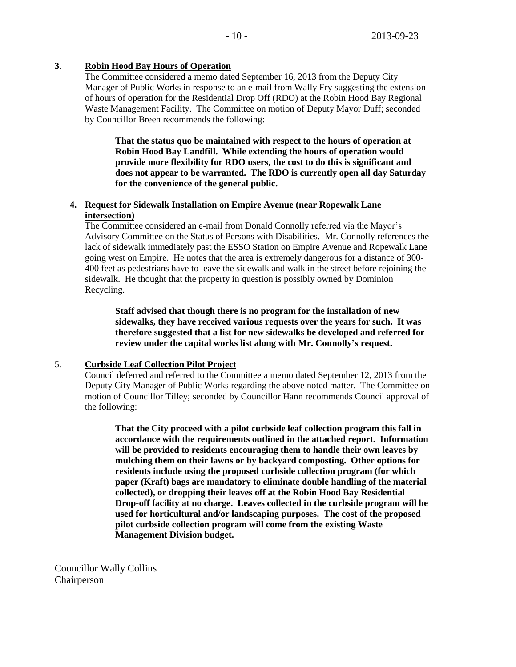### **3. Robin Hood Bay Hours of Operation**

The Committee considered a memo dated September 16, 2013 from the Deputy City Manager of Public Works in response to an e-mail from Wally Fry suggesting the extension of hours of operation for the Residential Drop Off (RDO) at the Robin Hood Bay Regional Waste Management Facility. The Committee on motion of Deputy Mayor Duff; seconded by Councillor Breen recommends the following:

**That the status quo be maintained with respect to the hours of operation at Robin Hood Bay Landfill. While extending the hours of operation would provide more flexibility for RDO users, the cost to do this is significant and does not appear to be warranted. The RDO is currently open all day Saturday for the convenience of the general public.** 

## **4. Request for Sidewalk Installation on Empire Avenue (near Ropewalk Lane intersection)**

The Committee considered an e-mail from Donald Connolly referred via the Mayor's Advisory Committee on the Status of Persons with Disabilities. Mr. Connolly references the lack of sidewalk immediately past the ESSO Station on Empire Avenue and Ropewalk Lane going west on Empire. He notes that the area is extremely dangerous for a distance of 300- 400 feet as pedestrians have to leave the sidewalk and walk in the street before rejoining the sidewalk. He thought that the property in question is possibly owned by Dominion Recycling.

**Staff advised that though there is no program for the installation of new sidewalks, they have received various requests over the years for such. It was therefore suggested that a list for new sidewalks be developed and referred for review under the capital works list along with Mr. Connolly's request.**

#### 5. **Curbside Leaf Collection Pilot Project**

Council deferred and referred to the Committee a memo dated September 12, 2013 from the Deputy City Manager of Public Works regarding the above noted matter. The Committee on motion of Councillor Tilley; seconded by Councillor Hann recommends Council approval of the following:

**That the City proceed with a pilot curbside leaf collection program this fall in accordance with the requirements outlined in the attached report. Information will be provided to residents encouraging them to handle their own leaves by mulching them on their lawns or by backyard composting. Other options for residents include using the proposed curbside collection program (for which paper (Kraft) bags are mandatory to eliminate double handling of the material collected), or dropping their leaves off at the Robin Hood Bay Residential Drop-off facility at no charge. Leaves collected in the curbside program will be used for horticultural and/or landscaping purposes. The cost of the proposed pilot curbside collection program will come from the existing Waste Management Division budget.**

Councillor Wally Collins **Chairperson**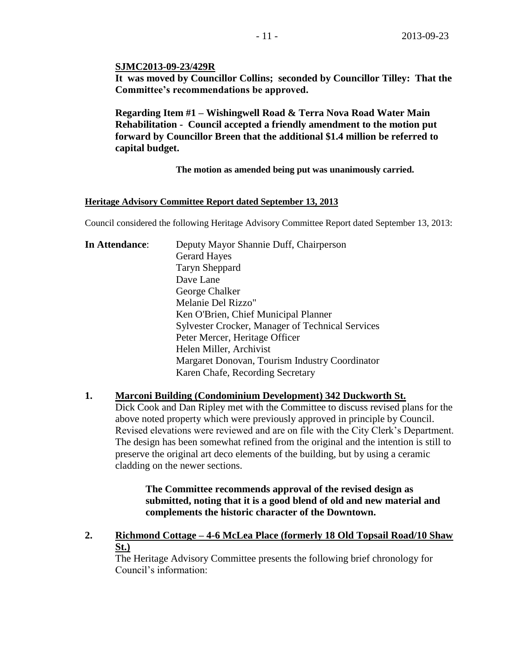#### **SJMC2013-09-23/429R**

**It was moved by Councillor Collins; seconded by Councillor Tilley: That the Committee's recommendations be approved.**

**Regarding Item #1 – Wishingwell Road & Terra Nova Road Water Main Rehabilitation - Council accepted a friendly amendment to the motion put forward by Councillor Breen that the additional \$1.4 million be referred to capital budget.**

**The motion as amended being put was unanimously carried.** 

#### **Heritage Advisory Committee Report dated September 13, 2013**

Council considered the following Heritage Advisory Committee Report dated September 13, 2013:

| In Attendance: | Deputy Mayor Shannie Duff, Chairperson                  |
|----------------|---------------------------------------------------------|
|                | <b>Gerard Hayes</b>                                     |
|                | <b>Taryn Sheppard</b>                                   |
|                | Dave Lane                                               |
|                | George Chalker                                          |
|                | Melanie Del Rizzo"                                      |
|                | Ken O'Brien, Chief Municipal Planner                    |
|                | <b>Sylvester Crocker, Manager of Technical Services</b> |
|                | Peter Mercer, Heritage Officer                          |
|                | Helen Miller, Archivist                                 |
|                | Margaret Donovan, Tourism Industry Coordinator          |
|                | Karen Chafe, Recording Secretary                        |

### **1. Marconi Building (Condominium Development) 342 Duckworth St.**

Dick Cook and Dan Ripley met with the Committee to discuss revised plans for the above noted property which were previously approved in principle by Council. Revised elevations were reviewed and are on file with the City Clerk's Department. The design has been somewhat refined from the original and the intention is still to preserve the original art deco elements of the building, but by using a ceramic cladding on the newer sections.

**The Committee recommends approval of the revised design as submitted, noting that it is a good blend of old and new material and complements the historic character of the Downtown.**

**2. Richmond Cottage – 4-6 McLea Place (formerly 18 Old Topsail Road/10 Shaw St.)**

The Heritage Advisory Committee presents the following brief chronology for Council's information: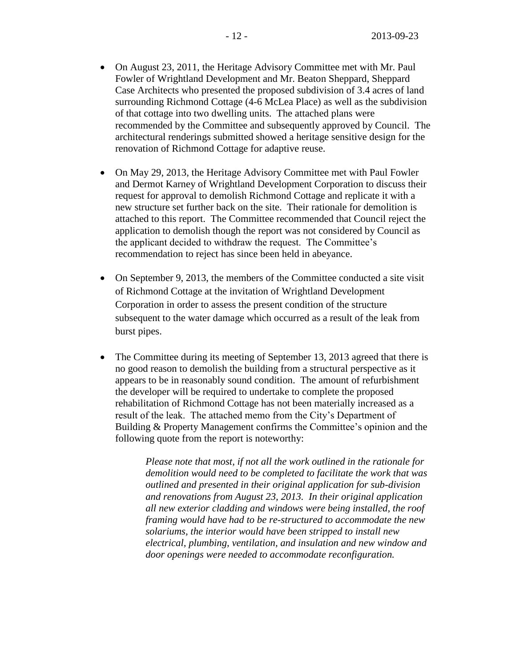- On August 23, 2011, the Heritage Advisory Committee met with Mr. Paul Fowler of Wrightland Development and Mr. Beaton Sheppard, Sheppard Case Architects who presented the proposed subdivision of 3.4 acres of land surrounding Richmond Cottage (4-6 McLea Place) as well as the subdivision of that cottage into two dwelling units. The attached plans were recommended by the Committee and subsequently approved by Council. The architectural renderings submitted showed a heritage sensitive design for the renovation of Richmond Cottage for adaptive reuse.
- On May 29, 2013, the Heritage Advisory Committee met with Paul Fowler and Dermot Karney of Wrightland Development Corporation to discuss their request for approval to demolish Richmond Cottage and replicate it with a new structure set further back on the site. Their rationale for demolition is attached to this report. The Committee recommended that Council reject the application to demolish though the report was not considered by Council as the applicant decided to withdraw the request. The Committee's recommendation to reject has since been held in abeyance.
- On September 9, 2013, the members of the Committee conducted a site visit of Richmond Cottage at the invitation of Wrightland Development Corporation in order to assess the present condition of the structure subsequent to the water damage which occurred as a result of the leak from burst pipes.
- The Committee during its meeting of September 13, 2013 agreed that there is no good reason to demolish the building from a structural perspective as it appears to be in reasonably sound condition. The amount of refurbishment the developer will be required to undertake to complete the proposed rehabilitation of Richmond Cottage has not been materially increased as a result of the leak. The attached memo from the City's Department of Building & Property Management confirms the Committee's opinion and the following quote from the report is noteworthy:

*Please note that most, if not all the work outlined in the rationale for demolition would need to be completed to facilitate the work that was outlined and presented in their original application for sub-division and renovations from August 23, 2013. In their original application all new exterior cladding and windows were being installed, the roof framing would have had to be re-structured to accommodate the new solariums, the interior would have been stripped to install new electrical, plumbing, ventilation, and insulation and new window and door openings were needed to accommodate reconfiguration.*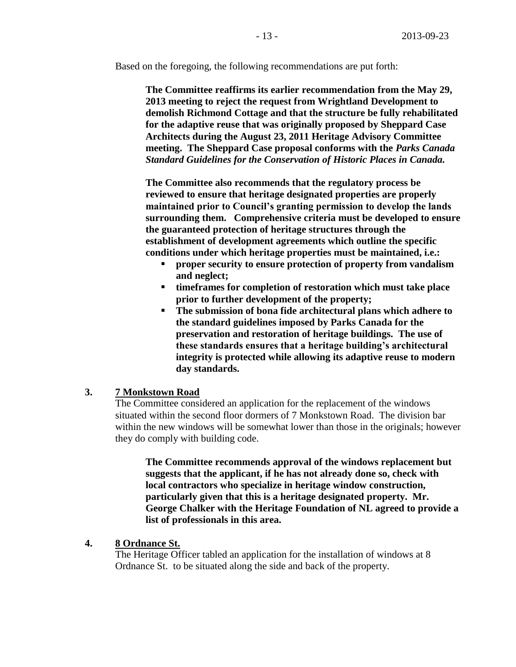Based on the foregoing, the following recommendations are put forth:

**The Committee reaffirms its earlier recommendation from the May 29, 2013 meeting to reject the request from Wrightland Development to demolish Richmond Cottage and that the structure be fully rehabilitated for the adaptive reuse that was originally proposed by Sheppard Case Architects during the August 23, 2011 Heritage Advisory Committee meeting. The Sheppard Case proposal conforms with the** *Parks Canada Standard Guidelines for the Conservation of Historic Places in Canada.*

**The Committee also recommends that the regulatory process be reviewed to ensure that heritage designated properties are properly maintained prior to Council's granting permission to develop the lands surrounding them. Comprehensive criteria must be developed to ensure the guaranteed protection of heritage structures through the establishment of development agreements which outline the specific conditions under which heritage properties must be maintained, i.e.:**

- **proper security to ensure protection of property from vandalism and neglect;**
- **timeframes for completion of restoration which must take place prior to further development of the property;**
- **The submission of bona fide architectural plans which adhere to the standard guidelines imposed by Parks Canada for the preservation and restoration of heritage buildings. The use of these standards ensures that a heritage building's architectural integrity is protected while allowing its adaptive reuse to modern day standards.**

## **3. 7 Monkstown Road**

The Committee considered an application for the replacement of the windows situated within the second floor dormers of 7 Monkstown Road. The division bar within the new windows will be somewhat lower than those in the originals; however they do comply with building code.

**The Committee recommends approval of the windows replacement but suggests that the applicant, if he has not already done so, check with local contractors who specialize in heritage window construction, particularly given that this is a heritage designated property. Mr. George Chalker with the Heritage Foundation of NL agreed to provide a list of professionals in this area.** 

## **4. 8 Ordnance St.**

The Heritage Officer tabled an application for the installation of windows at 8 Ordnance St. to be situated along the side and back of the property.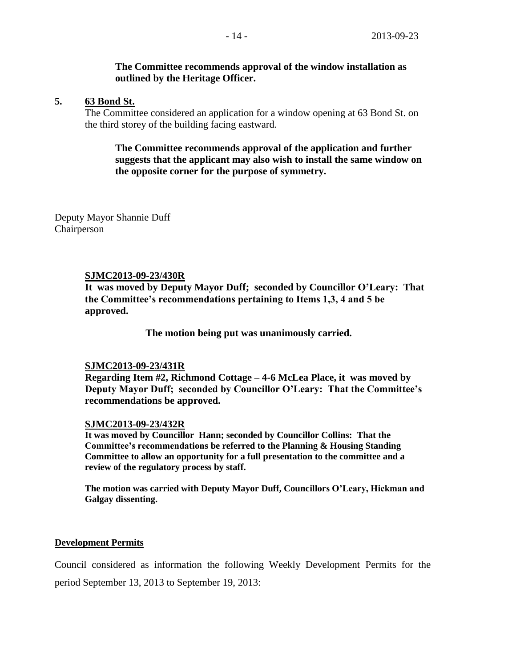## **The Committee recommends approval of the window installation as outlined by the Heritage Officer.**

### **5. 63 Bond St.**

The Committee considered an application for a window opening at 63 Bond St. on the third storey of the building facing eastward.

## **The Committee recommends approval of the application and further suggests that the applicant may also wish to install the same window on the opposite corner for the purpose of symmetry.**

Deputy Mayor Shannie Duff Chairperson

#### **SJMC2013-09-23/430R**

**It was moved by Deputy Mayor Duff; seconded by Councillor O'Leary: That the Committee's recommendations pertaining to Items 1,3, 4 and 5 be approved.** 

**The motion being put was unanimously carried.**

## **SJMC2013-09-23/431R**

**Regarding Item #2, Richmond Cottage – 4-6 McLea Place, it was moved by Deputy Mayor Duff; seconded by Councillor O'Leary: That the Committee's recommendations be approved.**

## **SJMC2013-09-23/432R**

**It was moved by Councillor Hann; seconded by Councillor Collins: That the Committee's recommendations be referred to the Planning & Housing Standing Committee to allow an opportunity for a full presentation to the committee and a review of the regulatory process by staff.**

**The motion was carried with Deputy Mayor Duff, Councillors O'Leary, Hickman and Galgay dissenting.**

#### **Development Permits**

Council considered as information the following Weekly Development Permits for the period September 13, 2013 to September 19, 2013: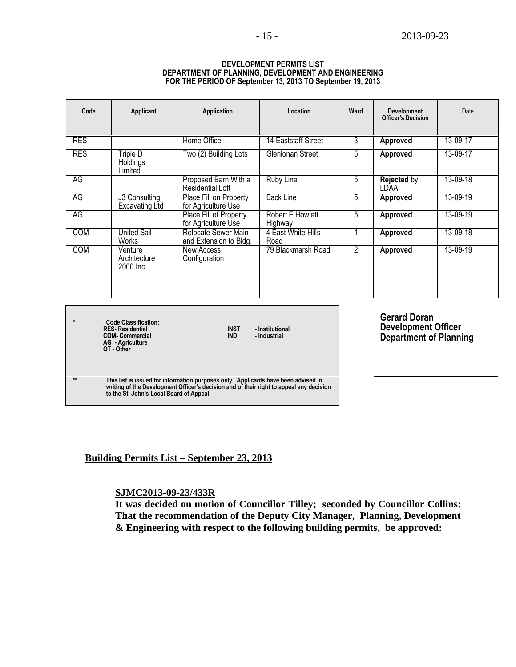#### **DEVELOPMENT PERMITS LIST DEPARTMENT OF PLANNING, DEVELOPMENT AND ENGINEERING FOR THE PERIOD OF September 13, 2013 TO September 19, 2013**

| Code       | Applicant                              | <b>Application</b>                            | Location                    | Ward           | <b>Development</b><br><b>Officer's Decision</b> | Date     |
|------------|----------------------------------------|-----------------------------------------------|-----------------------------|----------------|-------------------------------------------------|----------|
| <b>RES</b> |                                        | Home Office                                   | 14 Eaststaff Street         | 3              | <b>Approved</b>                                 | 13-09-17 |
| <b>RES</b> | Triple D<br>Holdings<br>Limited        | Two (2) Building Lots                         | Glenlonan Street            | 5              | Approved                                        | 13-09-17 |
| AG         |                                        | Proposed Barn With a<br>Residential Loft      | <b>Ruby Line</b>            | 5              | <b>Rejected by</b><br>LDAA                      | 13-09-18 |
| <b>AG</b>  | J3 Consulting<br><b>Excavating Ltd</b> | Place Fill on Property<br>for Agriculture Use | <b>Back Line</b>            | 5              | Approved                                        | 13-09-19 |
| AG         |                                        | Place Fill of Property<br>for Agriculture Use | Robert E Howlett<br>Highway | 5              | Approved                                        | 13-09-19 |
| <b>COM</b> | <b>United Sail</b><br>Works            | Relocate Sewer Main<br>and Extension to Bldg. | 4 East White Hills<br>Road  |                | <b>Approved</b>                                 | 13-09-18 |
| <b>COM</b> | Venture<br>Architecture<br>2000 Inc.   | <b>New Access</b><br>Configuration            | 79 Blackmarsh Road          | $\overline{2}$ | Approved                                        | 13-09-19 |
|            |                                        |                                               |                             |                |                                                 |          |
|            |                                        |                                               |                             |                |                                                 |          |
|            |                                        |                                               |                             |                | Corord Doron                                    |          |

**\* Code Classification: RES- Residential INST - Institutional COM- Commercial IND - Industrial AG - Agriculture OT - Other**

**Gerard Doran Development Officer Department of Planning**

**\*\* This list is issued for information purposes only. Applicants have been advised in writing of the Development Officer's decision and of their right to appeal any decision to the St. John's Local Board of Appeal.**

## **Building Permits List – September 23, 2013**

## **SJMC2013-09-23/433R**

**It was decided on motion of Councillor Tilley; seconded by Councillor Collins: That the recommendation of the Deputy City Manager, Planning, Development & Engineering with respect to the following building permits, be approved:**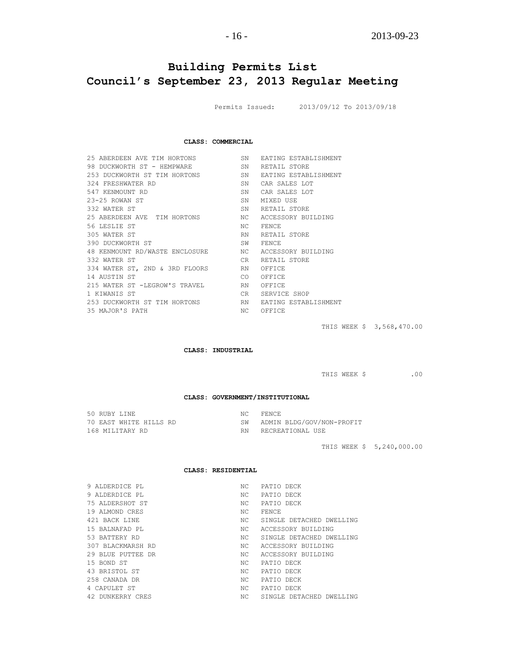# **Building Permits List Council's September 23, 2013 Regular Meeting**

Permits Issued: 2013/09/12 To 2013/09/18

#### **CLASS: COMMERCIAL**

| 25 ABERDEEN AVE TIM HORTONS<br>98 DUCKWORTH ST - HEMPWARE<br>253 DUCKWORTH ST TIM HORTONS<br>324 FRESHWATER RD<br>547 KENMOUNT RD<br>$23 - 25$ ROWAN ST<br>332 WATER ST<br>25 ABERDEEN AVE TIM HORTONS NO<br>56 LESLIE ST<br>305 WATER ST<br>390 DUCKWORTH ST<br>48 KENMOUNT RD/WASTE ENCLOSURE NC<br>332 WATER ST<br>334 WATER ST, 2ND & 3RD FLOORS RN<br>14 AUSTIN ST<br>215 WATER ST -LEGROW'S TRAVEL<br>1 KIWANIS ST | SN.<br>SN<br>SN<br>SN<br>SN<br>SN<br>SN<br>NC<br>RN.<br>SW<br>CR.<br>CO <sub>2</sub><br>RN<br>CR | <b>EATING ESTABLISHMENT</b><br>RETAIL STORE<br>EATING ESTABLISHMENT<br>CAR SALES LOT<br>CAR SALES LOT<br>MIXED USE<br>RETAIL STORE<br>ACCESSORY BUILDING<br><b>FENCE</b><br>RETAIL STORE<br>FENCE<br>ACCESSORY BUILDING<br>RETAIL STORE<br>OFFICE<br>OFFICE<br>OFFICE<br>SERVICE SHOP |
|--------------------------------------------------------------------------------------------------------------------------------------------------------------------------------------------------------------------------------------------------------------------------------------------------------------------------------------------------------------------------------------------------------------------------|--------------------------------------------------------------------------------------------------|---------------------------------------------------------------------------------------------------------------------------------------------------------------------------------------------------------------------------------------------------------------------------------------|
| 253 DUCKWORTH ST TIM HORTONS                                                                                                                                                                                                                                                                                                                                                                                             | RN                                                                                               | EATING ESTABLISHMENT                                                                                                                                                                                                                                                                  |
| 35 MAJOR'S PATH                                                                                                                                                                                                                                                                                                                                                                                                          | NC.                                                                                              | OFFICE                                                                                                                                                                                                                                                                                |
|                                                                                                                                                                                                                                                                                                                                                                                                                          |                                                                                                  |                                                                                                                                                                                                                                                                                       |

THIS WEEK \$ 3,568,470.00

**CLASS: INDUSTRIAL**

THIS WEEK \$ .00

#### **CLASS: GOVERNMENT/INSTITUTIONAL**

|  | 50 RUBY LINE    |                        | NC | FENCE                     |
|--|-----------------|------------------------|----|---------------------------|
|  |                 | 70 EAST WHITE HILLS RD | SW | ADMIN BLDG/GOV/NON-PROFIT |
|  | 168 MILITARY RD |                        | RN | RECREATIONAL USE          |

THIS WEEK \$ 5,240,000.00

#### **CLASS: RESIDENTIAL**

| 9 ALDERDICE PL    | NC. | PATIO DECK               |
|-------------------|-----|--------------------------|
| 9 ALDERDICE PL    | NC. | PATIO DECK               |
| 75 ALDERSHOT ST   | NC. | PATIO DECK               |
| 19 ALMOND CRES    | NC. | <b>FENCE</b>             |
| 421 BACK LINE     | NC. | SINGLE DETACHED DWELLING |
| 15 BALNAFAD PL    | NC. | ACCESSORY BUILDING       |
| 53 BATTERY RD     | NC. | SINGLE DETACHED DWELLING |
| 307 BLACKMARSH RD | NC. | ACCESSORY BUILDING       |
| 29 BLUE PUTTEE DR | NC. | ACCESSORY BUILDING       |
| 15 BOND ST        | NC. | PATIO DECK               |
| 43 BRISTOL ST     | NC. | PATIO DECK               |
| 258 CANADA DR     | NC. | PATIO DECK               |
| 4 CAPULET ST      | NC. | PATIO DECK               |
| 42 DUNKERRY CRES  | NC. | SINGLE DETACHED DWELLING |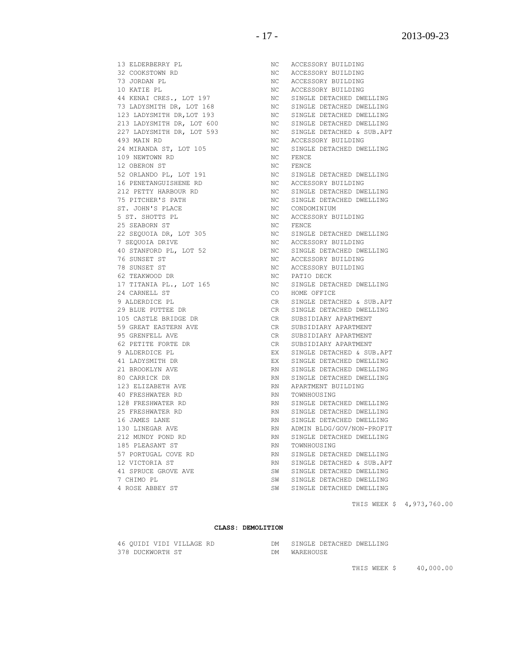THIS WEEK \$ 40,000.00

THIS WEEK \$ 4,973,760.00

46 QUIDI VIDI VILLAGE RD DM SINGLE DETACHED DWELLING

378 DUCKWORTH ST DM WAREHOUSE

41 SPRUCE GROVE AVE SW SINGLE DETACHED DWELLING 7 CHIMO PL SW SINGLE DETACHED DWELLING 4 ROSE ABBEY ST SW SINGLE DETACHED DWELLING

**CLASS: DEMOLITION**

212 MUNDY POND RD RN SINGLE DETACHED DWELLING

12 VICTORIA ST **RN** SINGLE DETACHED & SUB.APT

185 PLEASANT ST RN TOWNHOUSING

128 FRESHWATER RD **RN** SINGLE DETACHED DWELLING 25 FRESHWATER RD RN SINGLE DETACHED DWELLING 16 JAMES LANE RN SINGLE DETACHED DWELLING 130 LINEGAR AVE RN ADMIN BLDG/GOV/NON-PROFIT

80 CARRICK DR **RN SINGLE DETACHED DWELLING** 123 ELIZABETH AVE **RN** APARTMENT BUILDING 40 FRESHWATER RD RN TOWNHOUSING

RN SINGLE DETACHED DWELLING

41 LADYSMITH DR EX SINGLE DETACHED DWELLING 21 BROOKLYN AVE RN SINGLE DETACHED DWELLING

95 GRENFELL AVE **CRIPT CRIPT CONSTITUTE OF SUBSIDIARY APARTMENT** 62 PETITE FORTE DR CR SUBSIDIARY APARTMENT 9 ALDERDICE PL EX SINGLE DETACHED & SUB.APT

105 CASTLE BRIDGE DR CR SUBSIDIARY APARTMENT 59 GREAT EASTERN AVE CR SUBSIDIARY APARTMENT

29 BLUE PUTTEE DR CR SINGLE DETACHED DWELLING

24 CARNELL ST CO HOME OFFICE 9 ALDERDICE PL CR SINGLE DETACHED & SUB.APT

17 TITANIA PL., LOT 165 NC SINGLE DETACHED DWELLING

THE SUNSET STRAIN SUNSET STRAIN STRAIN STRAIN STRAIN STRAIN STRAIN STRAIN STRAIN STRAIN STRAIN STRAIN STRAIN STRAIN STRAIN STRAIN STRAIN STRAIN STRAIN STRAIN STRAIN STRAIN STRAIN STRAIN STRAIN STRAIN STRAIN STRAIN STRAIN S 62 TEAKWOOD DR NC PATIO DECK

76 SUNSET ST NO RECESSORY BUILDING

7 SEQUOIA DRIVE NO NO ACCESSORY BUILDING 40 STANFORD PL, LOT 52 NC SINGLE DETACHED DWELLING

25 SEABORN ST NC FENCE 22 SEQUOIA DR, LOT 305 NC SINGLE DETACHED DWELLING

75 PITCHER'S PATH NO SINGLE DETACHED DWELLING ST. JOHN'S PLACE NO NC CONDOMINIUM 5 ST. SHOTTS PL NC ACCESSORY BUILDING

52 ORLANDO PL, LOT 191 NC SINGLE DETACHED DWELLING 16 PENETANGUISHENE RD NC ACCESSORY BUILDING 212 PETTY HARBOUR RD NC SINGLE DETACHED DWELLING

213 LADYSMITH DR, LOT 600 NC SINGLE DETACHED DWELLING 227 LADYSMITH DR, LOT 593 NC SINGLE DETACHED & SUB.APT 493 MAIN RD NO NC ACCESSORY BUILDING 24 MIRANDA ST, LOT 105 NC SINGLE DETACHED DWELLING 109 NEWTOWN RD NC FENCE 12 OBERON ST NC FENCE

32 COOKSTOWN RD NC ACCESSORY BUILDING 73 JORDAN PL NC ACCESSORY BUILDING 10 KATIE PL NO NO ACCESSORY BUILDING 44 KENAI CRES., LOT 197 NC SINGLE DETACHED DWELLING 73 LADYSMITH DR, LOT 168 NC SINGLE DETACHED DWELLING 123 LADYSMITH DR,LOT 193 NC SINGLE DETACHED DWELLING

13 ELDERBERRY PL NC ACCESSORY BUILDING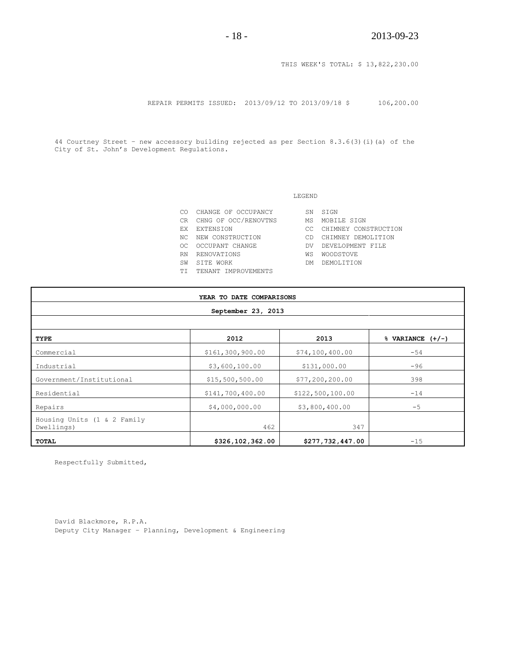THIS WEEK'S TOTAL: \$ 13,822,230.00

REPAIR PERMITS ISSUED: 2013/09/12 TO 2013/09/18 \$ 106,200.00

44 Courtney Street – new accessory building rejected as per Section 8.3.6(3)(i)(a) of the City of St. John's Development Regulations.

#### LEGEND

| СO  | CHANGE OF OCCUPANCY  | SN  | STGN                 |
|-----|----------------------|-----|----------------------|
| CR. | CHNG OF OCC/RENOVTNS | МS  | MOBILE SIGN          |
| F.X | EXTENSION            | CC. | CHIMNEY CONSTRUCTION |
| NC. | NEW CONSTRUCTION     | Μn  | CHIMNEY DEMOLITION   |
| OC. | OCCUPANT CHANGE      | DV  | DEVELOPMENT FILE     |
| RN  | RENOVATIONS          | WS  | <b>WOODSTOVE</b>     |
| SW  | STTE WORK            | DМ  | DEMOLITTION          |
| TТ  | TENANT IMPROVEMENTS  |     |                      |
|     |                      |     |                      |

| YEAR TO DATE COMPARISONS                  |                  |                   |                                |  |
|-------------------------------------------|------------------|-------------------|--------------------------------|--|
| September 23, 2013                        |                  |                   |                                |  |
|                                           |                  |                   |                                |  |
| TYPE                                      | 2012             | 2013              | $\sqrt[3]{ }$ VARIANCE $(+/-)$ |  |
| Commercial                                | \$161,300,900.00 | \$74,100,400.00   | $-54$                          |  |
| Industrial                                | \$3,600,100.00   | \$131,000.00      | $-96$                          |  |
| Government/Institutional                  | \$15,500,500.00  | \$77, 200, 200.00 | 398                            |  |
| Residential                               | \$141,700,400.00 | \$122,500,100.00  | $-14$                          |  |
| Repairs                                   | \$4,000,000.00   | \$3,800,400.00    | $-5$                           |  |
| Housing Units (1 & 2 Family<br>Dwellings) | 462              | 347               |                                |  |
| <b>TOTAL</b>                              | \$326,102,362.00 | \$277,732,447.00  | $-15$                          |  |

Respectfully Submitted,

David Blackmore, R.P.A. Deputy City Manager – Planning, Development & Engineering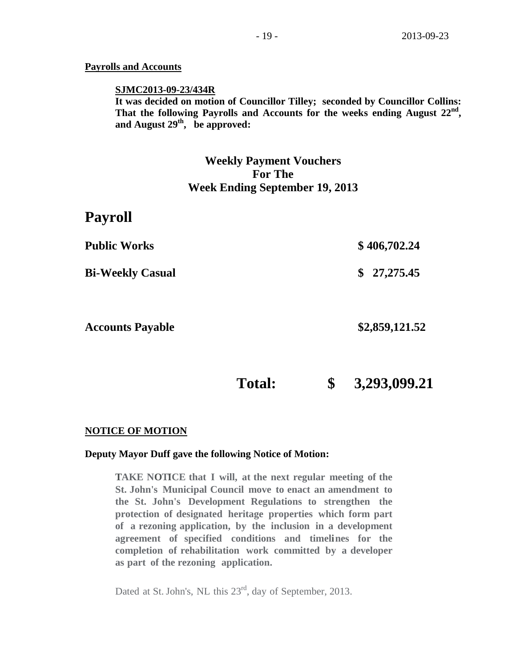## **Payrolls and Accounts**

#### **SJMC2013-09-23/434R**

**It was decided on motion of Councillor Tilley; seconded by Councillor Collins: That the following Payrolls and Accounts for the weeks ending August 22nd , and August 29th , be approved:**

# **Weekly Payment Vouchers For The Week Ending September 19, 2013**

# **Payroll**

| <b>Public Works</b>     | \$406,702.24   |
|-------------------------|----------------|
| <b>Bi-Weekly Casual</b> | \$27,275.45    |
| <b>Accounts Payable</b> | \$2,859,121.52 |

**Total: \$ 3,293,099.21**

## **NOTICE OF MOTION**

#### **Deputy Mayor Duff gave the following Notice of Motion:**

**TAKE NOTICE that I will, at the next regular meeting of the St. John's Municipal Council move to enact an amendment to the St. John's Development Regulations to strengthen the protection of designated heritage properties which form part of a rezoning application, by the inclusion in a development agreement of specified conditions and timelines for the completion of rehabilitation work committed by a developer as part of the rezoning application.**

Dated at St. John's, NL this 23<sup>rd</sup>, day of September, 2013.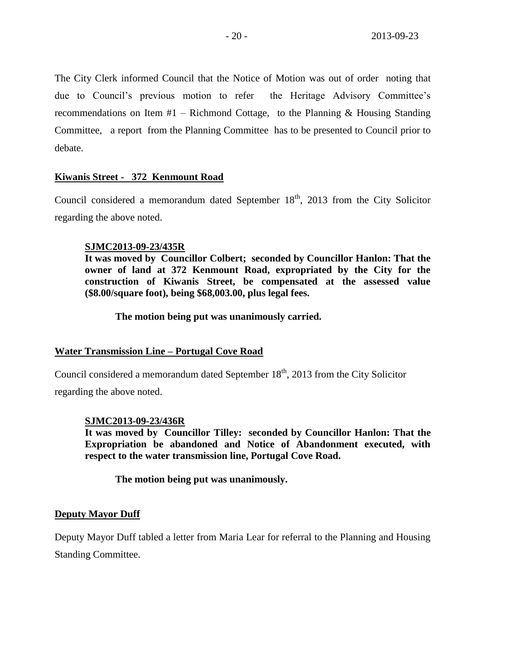The City Clerk informed Council that the Notice of Motion was out of order noting that due to Council's previous motion to refer the Heritage Advisory Committee's recommendations on Item #1 – Richmond Cottage, to the Planning & Housing Standing Committee, a report from the Planning Committee has to be presented to Council prior to debate.

## **Kiwanis Street - 372 Kenmount Road**

Council considered a memorandum dated September  $18<sup>th</sup>$ , 2013 from the City Solicitor regarding the above noted.

#### **SJMC2013-09-23/435R**

**It was moved by Councillor Colbert; seconded by Councillor Hanlon: That the owner of land at 372 Kenmount Road, expropriated by the City for the construction of Kiwanis Street, be compensated at the assessed value (\$8.00/square foot), being \$68,003.00, plus legal fees.**

**The motion being put was unanimously carried.**

#### **Water Transmission Line – Portugal Cove Road**

Council considered a memorandum dated September  $18<sup>th</sup>$ , 2013 from the City Solicitor

regarding the above noted.

#### **SJMC2013-09-23/436R**

**It was moved by Councillor Tilley: seconded by Councillor Hanlon: That the Expropriation be abandoned and Notice of Abandonment executed, with respect to the water transmission line, Portugal Cove Road.**

**The motion being put was unanimously.**

## **Deputy Mayor Duff**

Deputy Mayor Duff tabled a letter from Maria Lear for referral to the Planning and Housing Standing Committee.